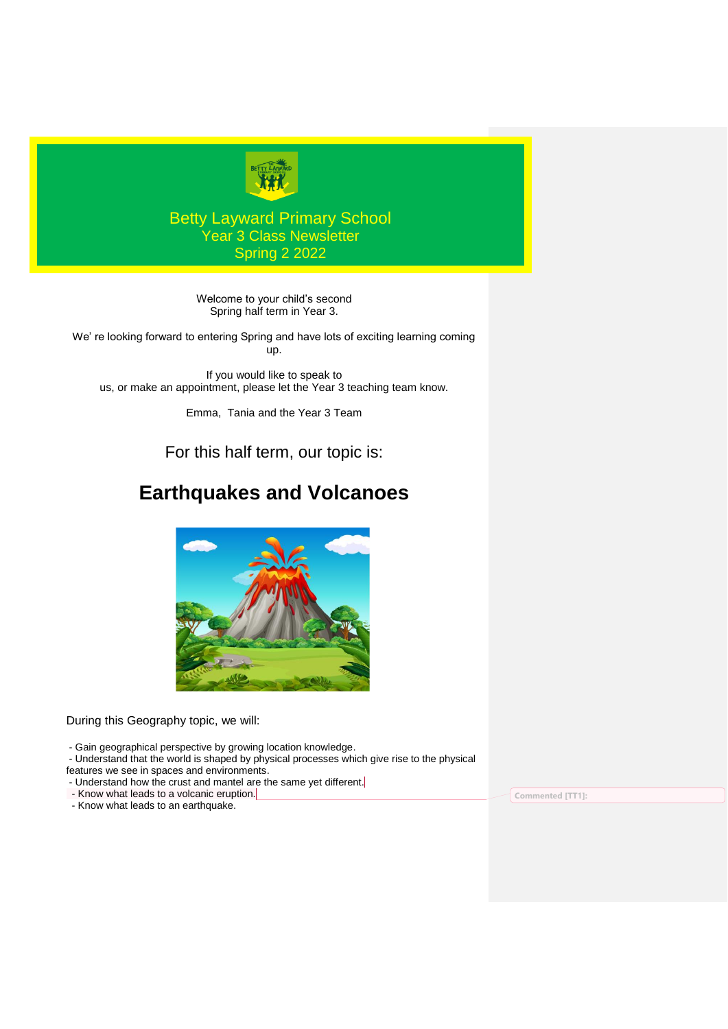

## Betty Layward Primary School Year 3 Class Newsletter Spring 2 2022

Welcome to your child's second Spring half term in Year 3.

We' re looking forward to entering Spring and have lots of exciting learning coming up.

If you would like to speak to us, or make an appointment, please let the Year 3 teaching team know.

Emma, Tania and the Year 3 Team

For this half term, our topic is:

# **Earthquakes and Volcanoes**



During this Geography topic, we will:

- Gain geographical perspective by growing location knowledge.

- Understand that the world is shaped by physical processes which give rise to the physical

features we see in spaces and environments.

- Understand how the crust and mantel are the same yet different.
- Know what leads to a volcanic eruption.

- Know what leads to an earthquake.

**Commented [TT1]:**